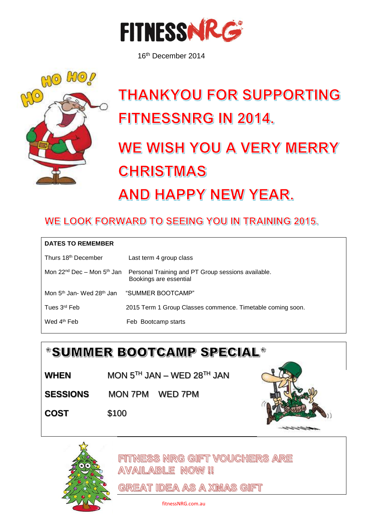

16th December 2014



## **THANKYOU FOR SUPPORTING** FITNESSNRG IN 2014.

## WE WISH YOU A VERY MERRY **CHRISTMAS AND HAPPY NEW YEAR.**

## WE LOOK FORWARD TO SEEING YOU IN TRAINING 2015.

| <b>DATES TO REMEMBER</b>                          |                                                                              |
|---------------------------------------------------|------------------------------------------------------------------------------|
| Thurs 18 <sup>th</sup> December                   | Last term 4 group class                                                      |
| Mon $22^{nd}$ Dec – Mon $5^{th}$ Jan              | Personal Training and PT Group sessions available.<br>Bookings are essential |
| Mon 5 <sup>th</sup> Jan- Wed 28 <sup>th</sup> Jan | "SUMMER BOOTCAMP"                                                            |
| Tues 3 <sup>rd</sup> Feb                          | 2015 Term 1 Group Classes commence. Timetable coming soon.                   |
| Wed 4 <sup>th</sup> Feb                           | Feb Bootcamp starts                                                          |





FITTNESS NRG GIFT VOUCHERS ARE **AVAILABLE NOW!!** 

**GREAT IDEA AS A XMAS GIFT** 

fitnessNRG.com.au